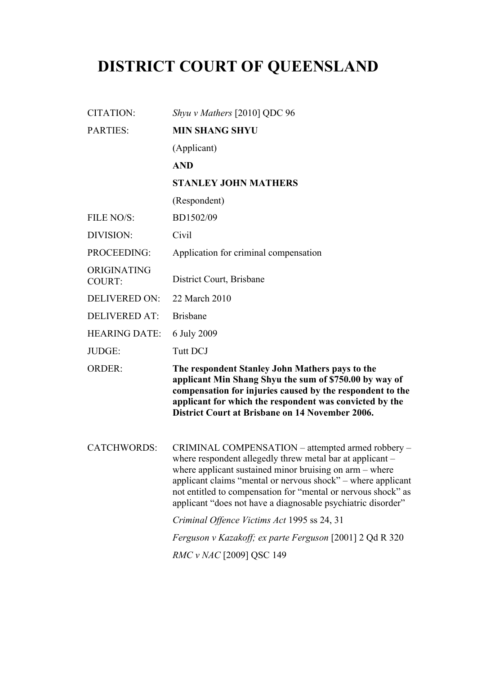# **DISTRICT COURT OF QUEENSLAND**

| <b>CITATION:</b>             | Shyu v Mathers [2010] QDC 96                                                                                                                                                                                                                                                                                                                                               |
|------------------------------|----------------------------------------------------------------------------------------------------------------------------------------------------------------------------------------------------------------------------------------------------------------------------------------------------------------------------------------------------------------------------|
| <b>PARTIES:</b>              | <b>MIN SHANG SHYU</b>                                                                                                                                                                                                                                                                                                                                                      |
|                              | (Applicant)                                                                                                                                                                                                                                                                                                                                                                |
|                              | <b>AND</b>                                                                                                                                                                                                                                                                                                                                                                 |
|                              | <b>STANLEY JOHN MATHERS</b>                                                                                                                                                                                                                                                                                                                                                |
|                              | (Respondent)                                                                                                                                                                                                                                                                                                                                                               |
| FILE NO/S:                   | BD1502/09                                                                                                                                                                                                                                                                                                                                                                  |
| DIVISION:                    | Civil                                                                                                                                                                                                                                                                                                                                                                      |
| PROCEEDING:                  | Application for criminal compensation                                                                                                                                                                                                                                                                                                                                      |
| ORIGINATING<br><b>COURT:</b> | District Court, Brisbane                                                                                                                                                                                                                                                                                                                                                   |
| <b>DELIVERED ON:</b>         | 22 March 2010                                                                                                                                                                                                                                                                                                                                                              |
| <b>DELIVERED AT:</b>         | <b>Brisbane</b>                                                                                                                                                                                                                                                                                                                                                            |
| <b>HEARING DATE:</b>         | 6 July 2009                                                                                                                                                                                                                                                                                                                                                                |
| JUDGE:                       | <b>Tutt DCJ</b>                                                                                                                                                                                                                                                                                                                                                            |
| <b>ORDER:</b>                | The respondent Stanley John Mathers pays to the<br>applicant Min Shang Shyu the sum of \$750.00 by way of<br>compensation for injuries caused by the respondent to the<br>applicant for which the respondent was convicted by the<br><b>District Court at Brisbane on 14 November 2006.</b>                                                                                |
| <b>CATCHWORDS:</b>           | CRIMINAL COMPENSATION – attempted armed robbery –<br>where respondent allegedly threw metal bar at applicant –<br>where applicant sustained minor bruising on arm – where<br>applicant claims "mental or nervous shock" – where applicant<br>not entitled to compensation for "mental or nervous shock" as<br>applicant "does not have a diagnosable psychiatric disorder" |
|                              | Criminal Offence Victims Act 1995 ss 24, 31                                                                                                                                                                                                                                                                                                                                |
|                              | Ferguson v Kazakoff; ex parte Ferguson [2001] 2 Qd R 320                                                                                                                                                                                                                                                                                                                   |
|                              | <i>RMC v NAC</i> [2009] QSC 149                                                                                                                                                                                                                                                                                                                                            |
|                              |                                                                                                                                                                                                                                                                                                                                                                            |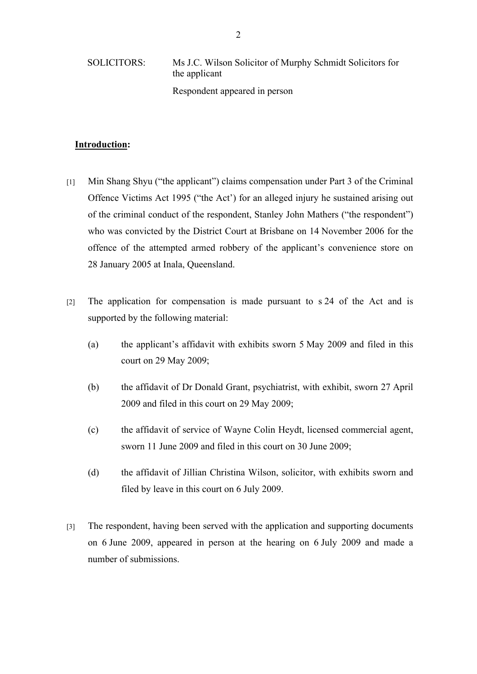SOLICITORS: Ms J.C. Wilson Solicitor of Murphy Schmidt Solicitors for the applicant Respondent appeared in person

## **Introduction:**

- [1] Min Shang Shyu ("the applicant") claims compensation under Part 3 of the Criminal Offence Victims Act 1995 ("the Act') for an alleged injury he sustained arising out of the criminal conduct of the respondent, Stanley John Mathers ("the respondent") who was convicted by the District Court at Brisbane on 14 November 2006 for the offence of the attempted armed robbery of the applicant's convenience store on 28 January 2005 at Inala, Queensland.
- [2] The application for compensation is made pursuant to s 24 of the Act and is supported by the following material:
	- (a) the applicant's affidavit with exhibits sworn 5 May 2009 and filed in this court on 29 May 2009;
	- (b) the affidavit of Dr Donald Grant, psychiatrist, with exhibit, sworn 27 April 2009 and filed in this court on 29 May 2009;
	- (c) the affidavit of service of Wayne Colin Heydt, licensed commercial agent, sworn 11 June 2009 and filed in this court on 30 June 2009;
	- (d) the affidavit of Jillian Christina Wilson, solicitor, with exhibits sworn and filed by leave in this court on 6 July 2009.
- [3] The respondent, having been served with the application and supporting documents on 6 June 2009, appeared in person at the hearing on 6 July 2009 and made a number of submissions.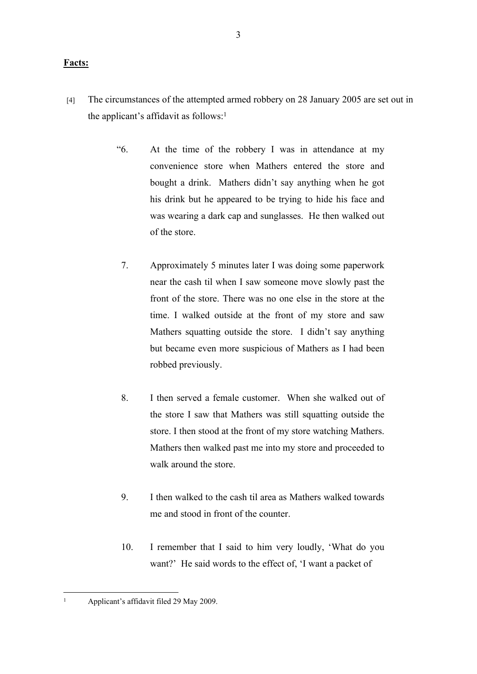### **Facts:**

- [4] The circumstances of the attempted armed robbery on 28 January 2005 are set out in the applicant's affidavit as follows: $<sup>1</sup>$ </sup>
	- "6. At the time of the robbery I was in attendance at my convenience store when Mathers entered the store and bought a drink. Mathers didn't say anything when he got his drink but he appeared to be trying to hide his face and was wearing a dark cap and sunglasses. He then walked out of the store.
		- 7. Approximately 5 minutes later I was doing some paperwork near the cash til when I saw someone move slowly past the front of the store. There was no one else in the store at the time. I walked outside at the front of my store and saw Mathers squatting outside the store. I didn't say anything but became even more suspicious of Mathers as I had been robbed previously.
		- 8. I then served a female customer. When she walked out of the store I saw that Mathers was still squatting outside the store. I then stood at the front of my store watching Mathers. Mathers then walked past me into my store and proceeded to walk around the store.
		- 9. I then walked to the cash til area as Mathers walked towards me and stood in front of the counter.
		- 10. I remember that I said to him very loudly, 'What do you want?' He said words to the effect of, 'I want a packet of

<sup>1</sup> Applicant's affidavit filed 29 May 2009.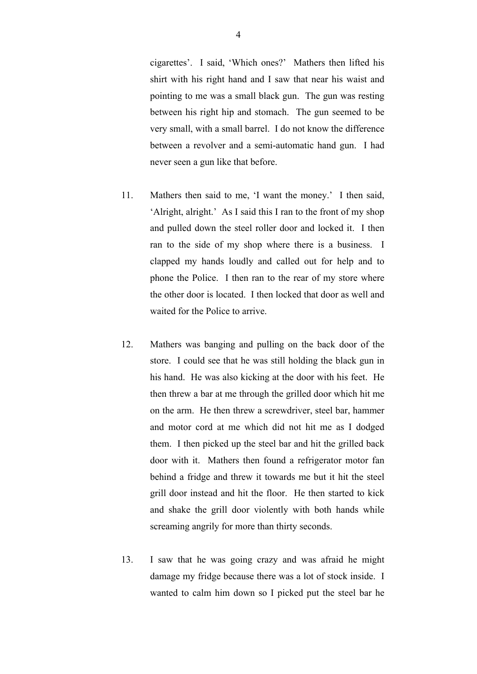cigarettes'. I said, 'Which ones?' Mathers then lifted his shirt with his right hand and I saw that near his waist and pointing to me was a small black gun. The gun was resting between his right hip and stomach. The gun seemed to be very small, with a small barrel. I do not know the difference between a revolver and a semi-automatic hand gun. I had never seen a gun like that before.

- 11. Mathers then said to me, 'I want the money.' I then said, 'Alright, alright.' As I said this I ran to the front of my shop and pulled down the steel roller door and locked it. I then ran to the side of my shop where there is a business. I clapped my hands loudly and called out for help and to phone the Police. I then ran to the rear of my store where the other door is located. I then locked that door as well and waited for the Police to arrive.
- 12. Mathers was banging and pulling on the back door of the store. I could see that he was still holding the black gun in his hand. He was also kicking at the door with his feet. He then threw a bar at me through the grilled door which hit me on the arm. He then threw a screwdriver, steel bar, hammer and motor cord at me which did not hit me as I dodged them. I then picked up the steel bar and hit the grilled back door with it. Mathers then found a refrigerator motor fan behind a fridge and threw it towards me but it hit the steel grill door instead and hit the floor. He then started to kick and shake the grill door violently with both hands while screaming angrily for more than thirty seconds.
- 13. I saw that he was going crazy and was afraid he might damage my fridge because there was a lot of stock inside. I wanted to calm him down so I picked put the steel bar he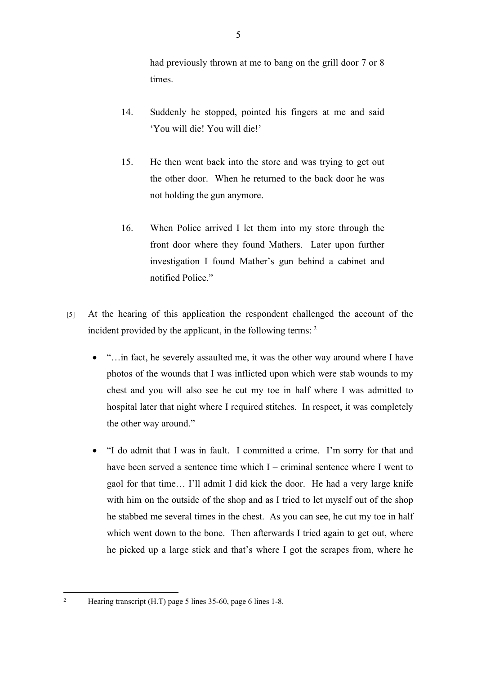had previously thrown at me to bang on the grill door 7 or 8 times.

- 14. Suddenly he stopped, pointed his fingers at me and said 'You will die! You will die!'
- 15. He then went back into the store and was trying to get out the other door. When he returned to the back door he was not holding the gun anymore.
- 16. When Police arrived I let them into my store through the front door where they found Mathers. Later upon further investigation I found Mather's gun behind a cabinet and notified Police"
- [5] At the hearing of this application the respondent challenged the account of the incident provided by the applicant, in the following terms: <sup>2</sup>
	- "... in fact, he severely assaulted me, it was the other way around where I have photos of the wounds that I was inflicted upon which were stab wounds to my chest and you will also see he cut my toe in half where I was admitted to hospital later that night where I required stitches. In respect, it was completely the other way around."
	- "I do admit that I was in fault. I committed a crime. I'm sorry for that and have been served a sentence time which I – criminal sentence where I went to gaol for that time… I'll admit I did kick the door. He had a very large knife with him on the outside of the shop and as I tried to let myself out of the shop he stabbed me several times in the chest. As you can see, he cut my toe in half which went down to the bone. Then afterwards I tried again to get out, where he picked up a large stick and that's where I got the scrapes from, where he

2

Hearing transcript (H.T) page 5 lines 35-60, page 6 lines 1-8.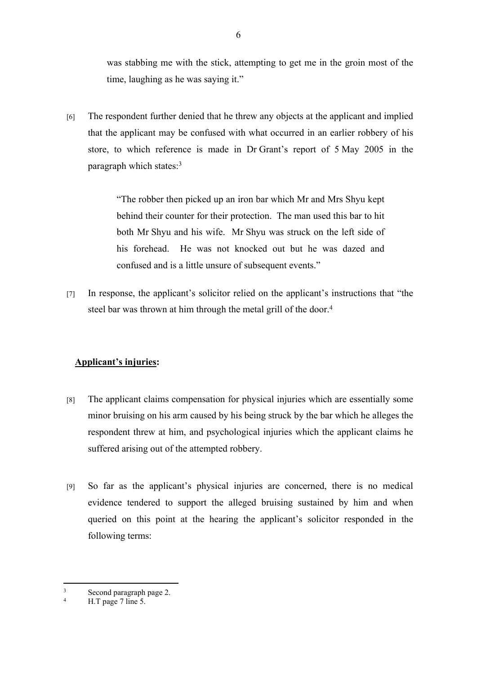was stabbing me with the stick, attempting to get me in the groin most of the time, laughing as he was saying it."

[6] The respondent further denied that he threw any objects at the applicant and implied that the applicant may be confused with what occurred in an earlier robbery of his store, to which reference is made in Dr Grant's report of 5 May 2005 in the paragraph which states:<sup>3</sup>

> "The robber then picked up an iron bar which Mr and Mrs Shyu kept behind their counter for their protection. The man used this bar to hit both Mr Shyu and his wife. Mr Shyu was struck on the left side of his forehead. He was not knocked out but he was dazed and confused and is a little unsure of subsequent events."

[7] In response, the applicant's solicitor relied on the applicant's instructions that "the steel bar was thrown at him through the metal grill of the door.<sup>4</sup>

# **Applicant's injuries:**

- [8] The applicant claims compensation for physical injuries which are essentially some minor bruising on his arm caused by his being struck by the bar which he alleges the respondent threw at him, and psychological injuries which the applicant claims he suffered arising out of the attempted robbery.
- [9] So far as the applicant's physical injuries are concerned, there is no medical evidence tendered to support the alleged bruising sustained by him and when queried on this point at the hearing the applicant's solicitor responded in the following terms:

<sup>3</sup> Second paragraph page 2.

<sup>4</sup> H.T page 7 line 5.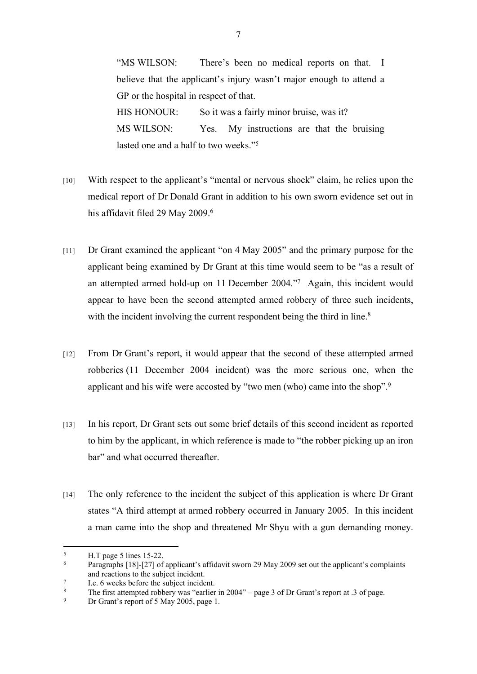"MS WILSON: There's been no medical reports on that. I believe that the applicant's injury wasn't major enough to attend a GP or the hospital in respect of that. HIS HONOUR: So it was a fairly minor bruise, was it? MS WILSON: Yes. My instructions are that the bruising lasted one and a half to two weeks."<sup>5</sup>

- [10] With respect to the applicant's "mental or nervous shock" claim, he relies upon the medical report of Dr Donald Grant in addition to his own sworn evidence set out in his affidavit filed 29 May 2009.<sup>6</sup>
- [11] Dr Grant examined the applicant "on 4 May 2005" and the primary purpose for the applicant being examined by Dr Grant at this time would seem to be "as a result of an attempted armed hold-up on 11 December 2004."<sup>7</sup> Again, this incident would appear to have been the second attempted armed robbery of three such incidents, with the incident involving the current respondent being the third in line.<sup>8</sup>
- [12] From Dr Grant's report, it would appear that the second of these attempted armed robberies (11 December 2004 incident) was the more serious one, when the applicant and his wife were accosted by "two men (who) came into the shop".<sup>9</sup>
- [13] In his report, Dr Grant sets out some brief details of this second incident as reported to him by the applicant, in which reference is made to "the robber picking up an iron bar" and what occurred thereafter.
- [14] The only reference to the incident the subject of this application is where Dr Grant states "A third attempt at armed robbery occurred in January 2005. In this incident a man came into the shop and threatened Mr Shyu with a gun demanding money.

<sup>5</sup> H.T page 5 lines 15-22.

<sup>6</sup> Paragraphs [18]-[27] of applicant's affidavit sworn 29 May 2009 set out the applicant's complaints and reactions to the subject incident.

<sup>7</sup> I.e. 6 weeks before the subject incident.

<sup>8</sup> The first attempted robbery was "earlier in 2004" – page 3 of Dr Grant's report at .3 of page.

<sup>9</sup> Dr Grant's report of 5 May 2005, page 1.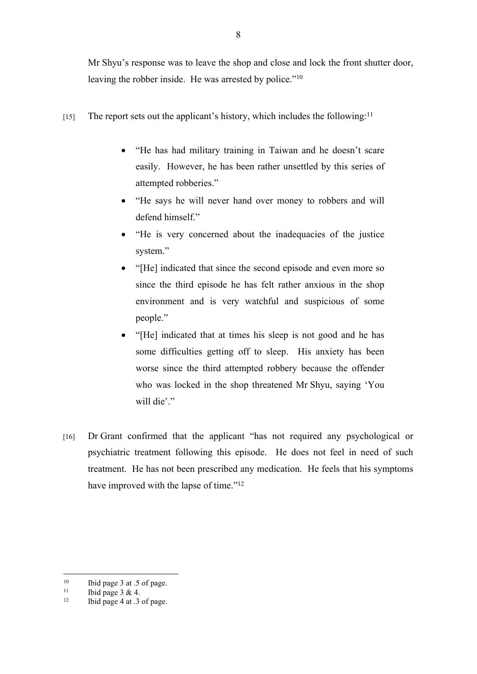Mr Shyu's response was to leave the shop and close and lock the front shutter door, leaving the robber inside. He was arrested by police."<sup>10</sup>

- [15] The report sets out the applicant's history, which includes the following:<sup>11</sup>
	- "He has had military training in Taiwan and he doesn't scare easily. However, he has been rather unsettled by this series of attempted robberies."
	- "He says he will never hand over money to robbers and will defend himself."
	- "He is very concerned about the inadequacies of the justice system."
	- "[He] indicated that since the second episode and even more so since the third episode he has felt rather anxious in the shop environment and is very watchful and suspicious of some people."
	- "[He] indicated that at times his sleep is not good and he has some difficulties getting off to sleep. His anxiety has been worse since the third attempted robbery because the offender who was locked in the shop threatened Mr Shyu, saying 'You will die'."
- [16] Dr Grant confirmed that the applicant "has not required any psychological or psychiatric treatment following this episode. He does not feel in need of such treatment. He has not been prescribed any medication. He feels that his symptoms have improved with the lapse of time."<sup>12</sup>

<sup>&</sup>lt;sup>10</sup> Ibid page 3 at .5 of page.<br><sup>11</sup> Ibid page 3 & A

<sup>&</sup>lt;sup>11</sup> Ibid page  $3 & 4$ .<br><sup>12</sup> Ibid page  $4$  at  $3$ 

<sup>12</sup> Ibid page 4 at .3 of page.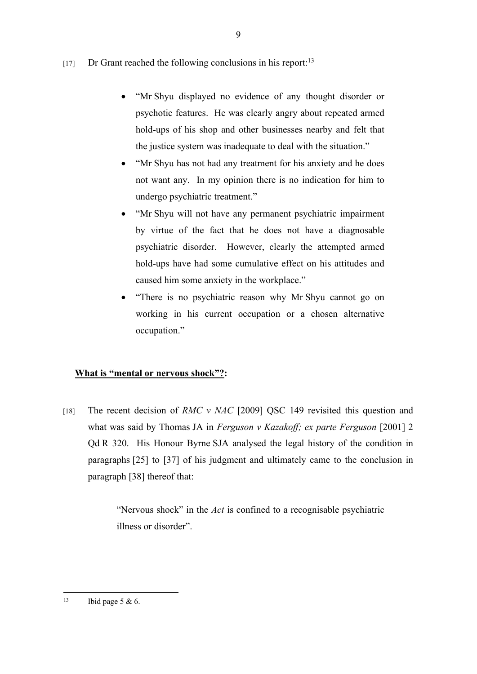[17] Dr Grant reached the following conclusions in his report:<sup>13</sup>

- "Mr Shyu displayed no evidence of any thought disorder or psychotic features. He was clearly angry about repeated armed hold-ups of his shop and other businesses nearby and felt that the justice system was inadequate to deal with the situation."
- "Mr Shyu has not had any treatment for his anxiety and he does not want any. In my opinion there is no indication for him to undergo psychiatric treatment."
- "Mr Shyu will not have any permanent psychiatric impairment by virtue of the fact that he does not have a diagnosable psychiatric disorder. However, clearly the attempted armed hold-ups have had some cumulative effect on his attitudes and caused him some anxiety in the workplace."
- "There is no psychiatric reason why Mr Shyu cannot go on working in his current occupation or a chosen alternative occupation."

# **What is "mental or nervous shock"?:**

[18] The recent decision of *RMC v NAC* [2009] QSC 149 revisited this question and what was said by Thomas JA in *Ferguson v Kazakoff; ex parte Ferguson* [2001] 2 Qd R 320. His Honour Byrne SJA analysed the legal history of the condition in paragraphs [25] to [37] of his judgment and ultimately came to the conclusion in paragraph [38] thereof that:

> "Nervous shock" in the *Act* is confined to a recognisable psychiatric illness or disorder".

<sup>&</sup>lt;sup>13</sup> Ibid page 5 & 6.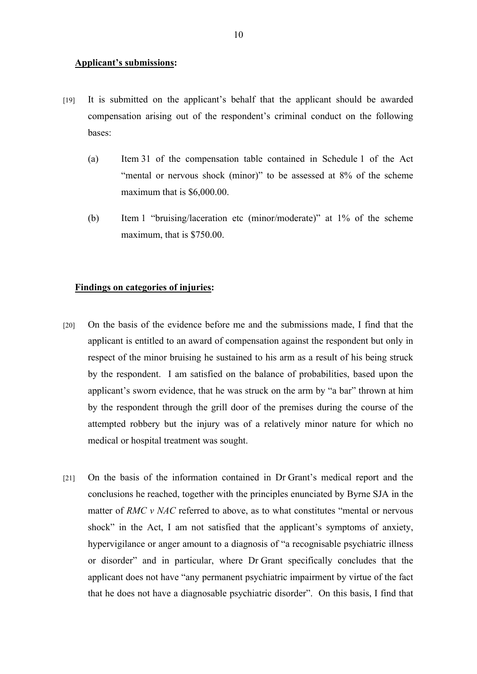#### **Applicant's submissions:**

- [19] It is submitted on the applicant's behalf that the applicant should be awarded compensation arising out of the respondent's criminal conduct on the following bases:
	- (a) Item 31 of the compensation table contained in Schedule 1 of the Act "mental or nervous shock (minor)" to be assessed at 8% of the scheme maximum that is \$6,000.00.
	- (b) Item 1 "bruising/laceration etc (minor/moderate)" at 1% of the scheme maximum, that is \$750.00.

#### **Findings on categories of injuries:**

- [20] On the basis of the evidence before me and the submissions made, I find that the applicant is entitled to an award of compensation against the respondent but only in respect of the minor bruising he sustained to his arm as a result of his being struck by the respondent. I am satisfied on the balance of probabilities, based upon the applicant's sworn evidence, that he was struck on the arm by "a bar" thrown at him by the respondent through the grill door of the premises during the course of the attempted robbery but the injury was of a relatively minor nature for which no medical or hospital treatment was sought.
- [21] On the basis of the information contained in Dr Grant's medical report and the conclusions he reached, together with the principles enunciated by Byrne SJA in the matter of *RMC v NAC* referred to above, as to what constitutes "mental or nervous shock" in the Act, I am not satisfied that the applicant's symptoms of anxiety, hypervigilance or anger amount to a diagnosis of "a recognisable psychiatric illness or disorder" and in particular, where Dr Grant specifically concludes that the applicant does not have "any permanent psychiatric impairment by virtue of the fact that he does not have a diagnosable psychiatric disorder". On this basis, I find that